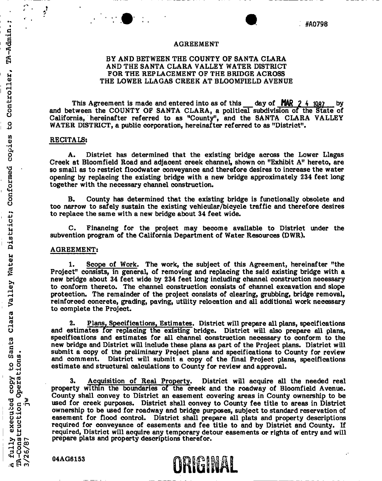### **AGREEMEN T**

### **B Y AN D BETWEEN TH E COUNT Y O F SANT A CLAR A A N D TH E SANT A CLAR A VALLE Y WATE R DISTRICT F O R TH E REPLACEMEN T O F TH E BRIDGE ACROS S T H E LOWE R LLAGA S CREE K A T BLOOMFIEL D AVENUE**

**This Agreement is made and entered into as of this day of MAR 2 4 1987 by and between the COUNT Y O F SANT A CLARA , a political subdivision of the State of**  California, hereinafter referred to as "County", and the SANTA CLARA VALLEY **WATE R DISTRICT, a public corporation, hereinafter referred to as "District".** 

### **RECITALS:**

 $\ddot{\cdot}$ 

TA-Admin.;

Controller,

 $\mathbf{c}$ 

**A. District has determined that the existing bridge across the Lower Llagas Creek at Bloomfield Road and adjacent creek channel, shown on "Exhibit A" hereto, are so small as to restrict floodwater conveyance and therefore desires to increase the water opening by replacing the existing bridge with a new bridge approximately 234 feet long together with the necessary channel construction.** 

**B. County has determined that the existing bridge is functionally obsolete and too narrow to safely sustain the existing vehicular/bicycle traffic and therefore desires to replace the same with a new bridge about 34 feet wide.** 

**C. Financing for the project may become available to District under the subvention program of the California Department of Water Resources (DWR) .** 

### **AGREEMENT :**

**1. Scope of Work. The work, the subject of this Agreement, hereinafter "the Project" consists, in general, of removing and replacing the said existing bridge with a new bridge about 34 feet wide by 234 feet long including channel construction necessary to conform thereto. The channel construction consists of channel excavation and slope protection. The remainder of the project consists of clearing, grubbing, bridge removal, reinforced concrete, grading, paving, utility relocation and all additional work necessary to complete the Project.** 

**2. Plans, Specifications, Estimates. District will prepare all plans, specifications and estimates for replacing the existing bridge. District will also prepare all plans, specifications and estimates for all channel construction necessary to conform to the new bridge and District will include these plans as part of the Project plans. District will submit a copy of the preliminary Project plans and specifications to County for review and comment. District will submit a copy of the final Project plans, specifications estimate and structural calculations to County for review and approval.** 

**3. Acquisition of Real Property. District will acquire all the needed real property within the boundaries of the creek and the roadway of Bloomfield Avenue. County shall convey to District an easement covering areas in County ownership to be used for creek purposes. District shall convey to County fee title to areas in District ownership to be used for roadway and bridge purposes, subject to standard reservation of easement for flood control. District shall prepare all plats and property descriptions required for conveyance of easements and fee title to and by District and County. If required, District will acquire any temporary detour easements or rights of entry and will prepare plats and property descriptions therefor.** 

**04AG6153 CHARGE CONSTRUCTED**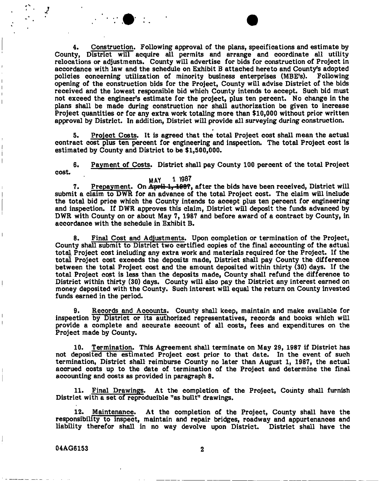**4. Construction. Following approval of the plans, specifications and estimate by County, District will acquire all permits and arrange and coordinate all utility relocations or adjustments. County will advertise for bids for construction of Project in accordance with law and the schedule on Exhibit B attached hereto and County's adopted policies concerning utilization of minority business enterprises (MBE's). Following opening of the construction bids for the Project, County will advise District of the bids received and the lowest responsible bid which County intends to accept. Such bid must not exceed the engineer's estimate for the project, plus ten percent. No change in the plans shall be made during construction nor shall authorization be given to increase Project quantities or for any extra work totaling more than \$10,000 without prior written approval by District. In addition, District will provide all surveying during construction.** 

**5. Project Costs. It is agreed that the total Project cost shall mean the actual contract cost plus ten percent for engineering and inspection. The total Project cost is estimated by County and District to be \$1,500,000.** 

**6. Payment of Costs. District shall pay County 100 percent of the total Project cost.** 

**MAY 1 1937**  7. Prepayment. On April 1, 1987, after the bids have been received, District will submit a claim to DWR for an advance of the total Project cost. The claim will include **the total bid price which the County intends to accept plus ten percent for engineering**  and inspection. If DWR approves this claim, District will deposit the funds advanced by DWR with County on or about May 7, 1987 and before award of a contract by County, in **accordance with the schedule in Exhibit B.** 

**8. Final Cost and Adjustments. Upon completion or termination of the Project, County shall submit to District two certified copies of the final accounting of the adtual total Project cost including any extra work and materials required for the Project. If the total Project cost exceeds the deposits made, District shall pay County the difference between the total Project cost and the amount deposited within thirty (30) days. If the total Project cost is less than the deposits made, County shall refund the difference to District within thirty (30) days. County will also pay the District any interest earned on money deposited with the County. Such interest will equal the return on County invested funds earned in the period.** 

**9. Records and Accounts. County shall keep, maintain and make available for inspection by District or its authorized representatives, records and books which will provide a complete and accurate account of all costs, fees and expenditures on the Project made by County.** 

**Termination. This Agreement shall terminate on May 29, 1987 if District has**  10. **not deposited the estimated Project cost prior to that date. In the event of such termination, District shall reimburse County no later than August 1, 1987, the actual accrued costs up to the date of termination of the Project and determine the final accounting and costs as provided in paragraph 8.** 

**11. Final Drawings. At the completion of the Project, County shall furnish District with a set of reproducible "as built" drawings.** 

**12. Maintenance. At the completion of the Project, County shall have the responsibility to inspect, maintain and repair bridges, roadway and appurtenances and liability therefor shall in no way devolve upon District. District shall have the** 

**04AG6153 2** 

ļ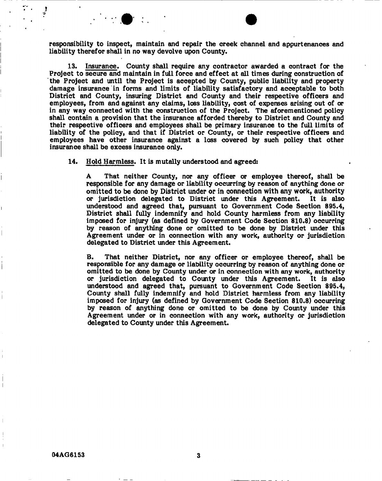**responsibility to inspect, maintain and repair the creek channel and appurtenances and liability therefor shall in no way devolve upon County.** 

**13. Insurance. County shall require any contractor awarded a contract for the Project to secure and maintain in full force and effect at all times during construction of the Project and until the Project is accepted by County, public liability and property damage insurance in forms and limits of liability satisfactory and acceptable to both District and County, insuring District and County and their respective officers and employees, from and against any claims, loss liability, cost of expenses arising out of or in any way connected with the construction of the Project. The aforementioned policy shall contain a provision that the insurance afforded thereby to District and County and their respective officers and employees shall be primary insurance to the full limits of liability of the policy, and that if District or County, or their respective officers and employees have other insurance against a loss covered by such policy that other insurance shall be excess insurance only.** 

**14. Hold Harmless. It is mutally understood and agreed:** 

**A That neither County, nor any officer or employee thereof, shall be responsible for any damage or liability occurring by reason of anything done or omitted to be done by District under or in connection with any work, authority or jurisdiction delegated to District under this Agreement. It is also understood and agreed that, pursuant to Government Code Section 895.4, District shall fully indemnify and hold County harmless from any liability imposed for injury (as defined by Government Code Section 810.8) occurring by reason of anything done or omitted to be done by District under this Agreement under or in connection with any work, authority or jurisdiction delegated to District under this Agreement.** 

**B. That neither District, nor any officer or employee thereof, shall be responsible for any damage or liability occurring by reason of anything done or omitted to be done by County under or in connection with any work, authority or jurisdiction delegated to County under this Agreement. It is also understood and agreed that, pursuant to Government Code Section 895.4, County shall fully indemnify and hold District harmless from any liability imposed for injury (as defined by Government Code Section 810.8) occurring by reason of anything done or omitted to be done by County under this Agreement under or in connection with any work, authority or jurisdiction delegated to County under this Agreement.**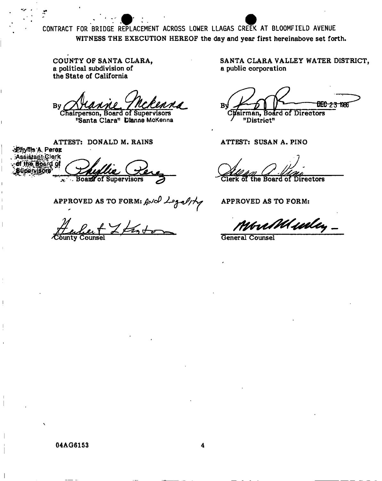CONTRACT FOR BRIDGE REPLACEMENT ACROSS LOWER LLAGAS CREEK AT BLOOMFIELD AVENUE WITNESS THE EXECUTION HEREOF the day and year first hereinabove set forth.

COUNTY OF SANTA CLARA, a political subdivision of the State of California

**By** 

Chairperson, Board of Supervisors "Santa Clara" Dianne McKenna

ATTEST: DONALD M. RAINS Phyllis A. Perez . Assistant Clerk of the Board of **Board of Supervisors**  $\mathbf{x}^{\star}$ 

APPROVED AS TO FORM: And Legality

SANTA CLARA VALLEY WATER DISTRICT, a public corporation

B∲ **DEC-2:3-1986** Chairman, Board of Directors "District"

ATTEST: SUSAN A. PINO

*irectors* 

**APPROVED AS TO FORM:** 

you Mula,

**General Counsel** 

04AG6153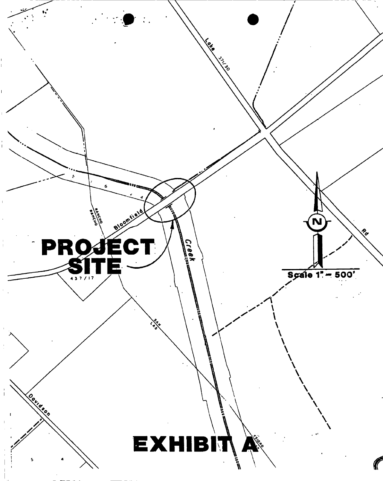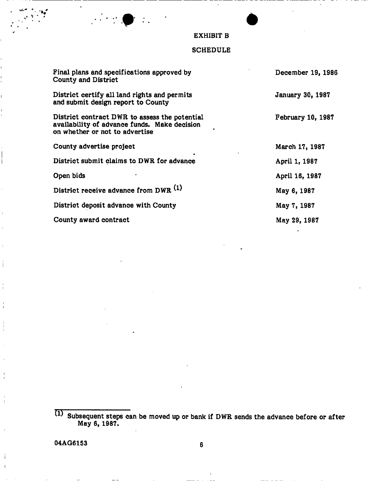## **EXHIBIT B**

### **SCHEDUL E**

| Final plans and specifications approved by<br>County and District                                                               | December 19, 1986 |
|---------------------------------------------------------------------------------------------------------------------------------|-------------------|
| District certify all land rights and permits<br>and submit design report to County                                              | January 30, 1987  |
| District contract DWR to assess the potential<br>availability of advance funds. Make decision<br>on whether or not to advertise | February 10, 1987 |
| County advertise project                                                                                                        | March 17, 1987    |
| District submit claims to DWR for advance                                                                                       | April 1, 1987     |
| Open bids                                                                                                                       | April 16, 1987    |
| District receive advance from DWR (1)                                                                                           | May 6, 1987       |
| District deposit advance with County                                                                                            | May 7, 1987       |
| County award contract                                                                                                           | May 29, 1987      |

**<sup>^</sup> Subsequent steps can be moved up or bank if DW R sends the advance before or after May 6, 1987.**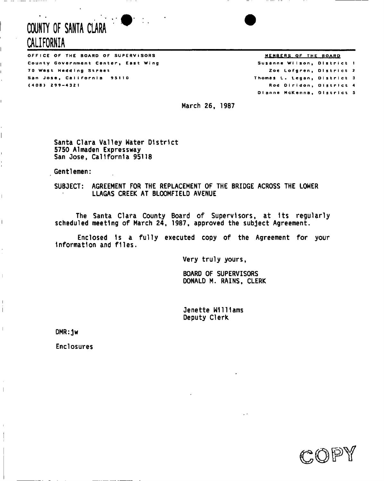# **COUNTY OF SANTA CLARA CALIFORNIA**

 $\ddotsc$ 

Ĺ

 $\overline{\phantom{a}}$ 

 $\overline{1}$ 

Ĺ

 $\mathbb{L}$ 

 $\mathbf{I}$ Ť

 $\|$ 

OFFICE OF THE BOARD OF SUPERVISORS **THE BOARD** STATE AND THE BOARD AND THE BOARD **MEMBERS** OF THE BOARD County Government Center, East Wing 70 West Hedding Street San Jose, California 95110 (408 ) 299- 4 32 1

Thomas L. Legan, District 3 Rod Diridon, District 4 Susanne Wilson, District 1 Zoe Lofgren, District 2 Dianne McKenna, District 5

March 26, 1987

Santa Clara Valley Water District 5750 Almaden Expressway San Jose, California 95118

Gentlemen:

SUBJECT: AGREEMENT FOR THE REPLACEMENT OF THE BRIDGE ACROSS THE LOWER LLAGAS CREEK AT BLOOMFIELD AVENUE

The Santa CIara County Board of Supervlsors, at Its regularly scheduled meeting of March 24, 1987, approved the subject Agreement.

Enclosed Is a fully executed copy of the Agreement for your Information and files.

Very truly yours

BOARD OF SUPERVISORS DONALD M. RAINS, CLERK

Jenette Williams Deputy Clerk

DMR:jw

Enclosures

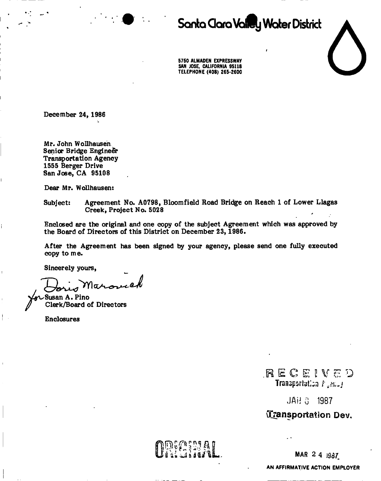

# **Sonta Clara Valley Water District**



5750 ALMADEN EXPRESSWAY SAN JOSE, CALIFORNIA 95118 TELEPHONE (408) 265-2600

**December 24, 1986** 

**Mr. John W ollhausen Senior Bridge Engineer Transportation Agency 1555 Berger Drive San Jose, C A 95108** 

**Dear Mr. Wollhausen:** 

**Subject: Agreement No. A0798, Bloom field Road Bridge on Reach 1 of Lower Llagas Creek, Project No. 5028** 

**Enclosed are the original and one copy of the subject Agreement which was approved by the Board of Directors of this District on December 23, 1986.** 

**After the Agreement has been signed by your agency, please send one fully executed copy to me.** 

**Sincerely yours,** 

las

**Susan A . Pino Clerk/Board of Directors** 

**Enclosures** 

**.RECESVE D**  Transpariation  $F_1$  M<sub>2</sub>  $I$ 

JAH 3 1987

^Transportation Dev.

MAR 2 4 1987

AN AFFIRMATIVE ACTION EMPLOYER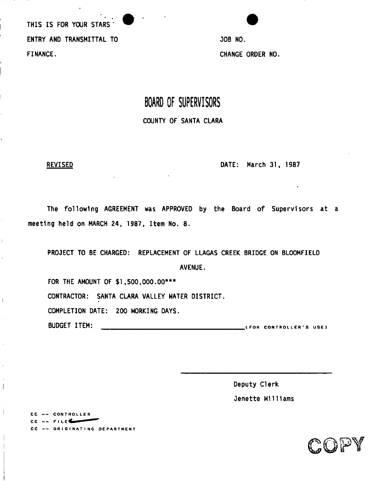THIS IS FOR YOUR STARS ' ENTRY AND TRANSMITTAL TO FINANCE.

JOB NO. CHANGE ORDER NO.

## **BOARD OF SUPERVISORS**  COUNTY OF SANTA CLARA

 $\mathop{\mathbb{F}}$ 

 $\bar{\rm I}$ 

 $\mathbf{I}$ 

 $\mathbf{r}$ 

 $\overline{\phantom{a}}$ 

REVISED DATE: March 31, 1987

The following AGREEMENT was APPROVED by the Board of Supervisors at meeting held on MARCH 24, 1987, Item No. 8.

PROJECT TO BE CHARGED: REPLACEMENT OF LLAGAS CREEK BRIDGE ON BLOOMFIELD AVENUE. FOR THE AMOUNT OF \$1,500,000.00\*\*\* CONTRACTOR: SANTA CLARA VALLEY WATER DISTRICT. COMPLETION DATE: 200 WORKING DAYS. BUDGET ITEM: (FO R CONTROLLER' S USE )

> Deputy Clerk Jenette Williams



CC -- CONTROLLER CC -- FILE CC -- ORIGINATING DEPARTMENT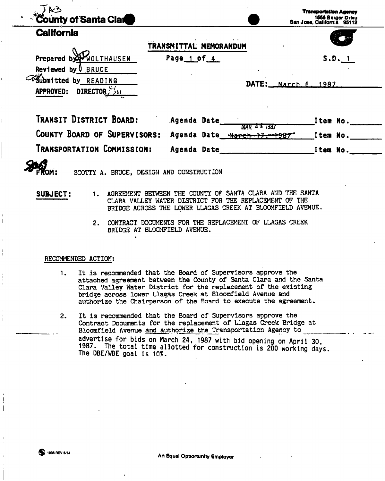| <b>County of Santa Clar</b>                                                                       |                                                     | <b>Transportation Agency</b><br>1555 Berger Drive<br>San Jose, California 95112 |
|---------------------------------------------------------------------------------------------------|-----------------------------------------------------|---------------------------------------------------------------------------------|
| <b>California</b>                                                                                 | TRANSMITTAL MEMORANDUM                              |                                                                                 |
| WOLTHAUSEN<br>Prepared by<br>Reviewed by U BRUCE<br>Film tted by READING<br>DIRECTOR<br>APPROVED: | Page 1 of 4<br>DATE:                                | S.D. 1<br>March 6, 1987                                                         |
| TRANSIT DISTRICT BOARD:<br>COUNTY BOARD OF SUPERVISORS:                                           | Agenda Date<br>MAR 24 1987<br>Agenda Date March 17. | Item No.<br>Item No.<br>+987                                                    |
| Transportation Commission:                                                                        | Agenda Date                                         | Item No.                                                                        |

SCOTTY A. BRUCE, DESIGN AND CONSTRUCTION

**SUBJECT:** 1. AGREEMENT BETWEEN THE COUNTY OF SANTA CLARA AND THE SANTA CLARA VALLEY WATER DISTRICT FOR THE REPLACEMENT OF THE BRIDGE ACROSS THE LOWER LLAGAS CREEK AT BLOOMFIELD AVENUE.

> 2. CONTRACT DOCUMENTS FOR THE REPLACEMENT OF LLAGAS CREEK BRIDGE AT BLOOMFIELD AVENUE.

### RECOMMENDED ACTION:

- 1. It is recommended that the Board of Supervisors approve the attached agreement between the County of Santa Clara and the Santa Clara Valley Water District for the replacement of the existing bridge across lower Llagas Creek at Bloomfield Avenue and authorize the Chairperson of the Board to execute the agreement.
- 2. It is recommended that the Board of Supervisors approve the Contract Documents for the replacement of Llagas Creek Bridge at Bloomfield Avenue and authorize the Transportation Agency to advertise for bids on March 24, 1987 with bid opening on April 30, 1987. The total time allotted for construction is 200 working days. The DBE/WBE goal is 10%.